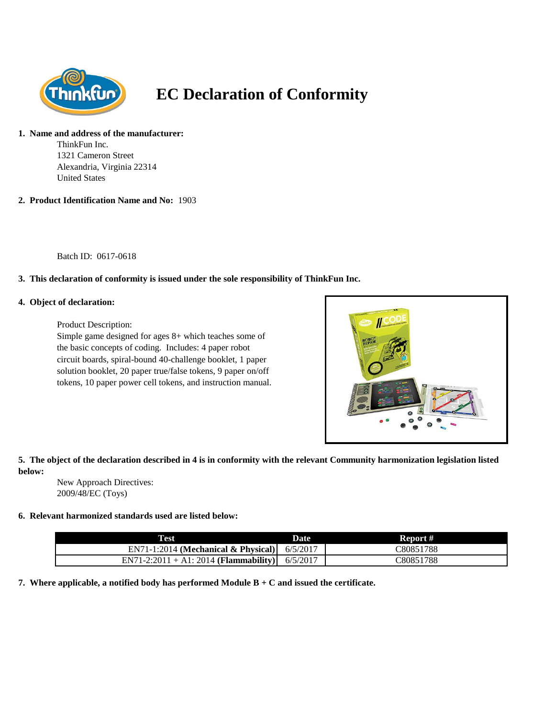

# **EC Declaration of Conformity**

#### **1. Name and address of the manufacturer:**

ThinkFun Inc. 1321 Cameron Street Alexandria, Virginia 22314 United States

**2. Product Identification Name and No:** 1903

Batch ID: 0617-0618

## **3. This declaration of conformity is issued under the sole responsibility of ThinkFun Inc.**

#### **4. Object of declaration:**

Product Description:

Simple game designed for ages 8+ which teaches some of the basic concepts of coding. Includes: 4 paper robot circuit boards, spiral-bound 40-challenge booklet, 1 paper solution booklet, 20 paper true/false tokens, 9 paper on/off tokens, 10 paper power cell tokens, and instruction manual.



## **5. The object of the declaration described in 4 is in conformity with the relevant Community harmonization legislation listed below:**

New Approach Directives: 2009/48/EC (Toys)

### **6. Relevant harmonized standards used are listed below:**

| <b>Test</b>                            | Date     | Report #  |
|----------------------------------------|----------|-----------|
| $EN71-1:2014$ (Mechanical & Physical)  | 6/5/2017 | C80851788 |
| $EN71-2:2011 + A1:2014$ (Flammability) | 6/5/2017 | C80851788 |

**7. Where applicable, a notified body has performed Module B + C and issued the certificate.**